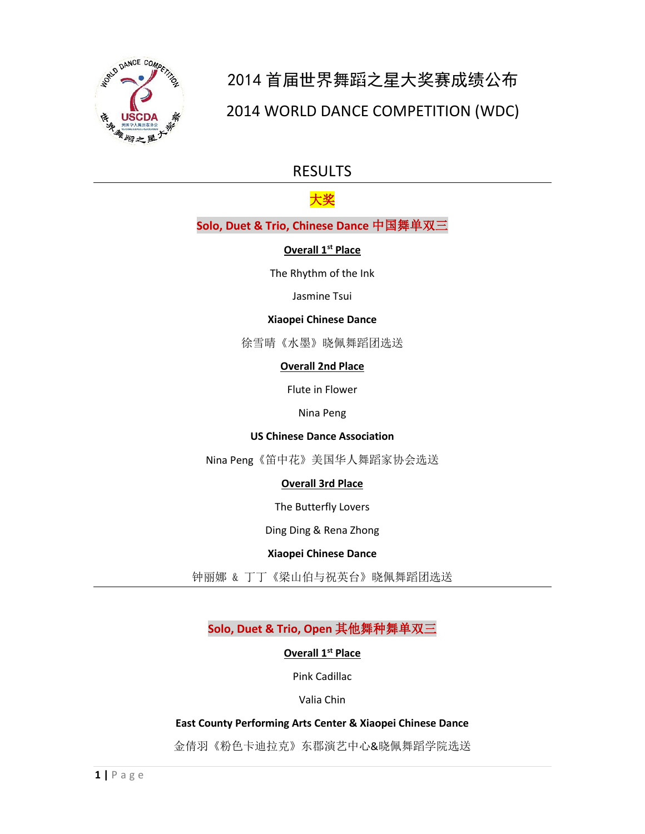

# 2014 首届世界舞蹈之星大奖赛成绩公布 2014 WORLD DANCE COMPETITION (WDC)

# RESULTS

# 大奖

# **Solo, Duet & Trio, Chinese Dance** 中国舞单双三

# **Overall 1st Place**

The Rhythm of the Ink

# Jasmine Tsui

#### **Xiaopei Chinese Dance**

徐雪晴《水墨》晓佩舞蹈团选送

# **Overall 2nd Place**

Flute in Flower

#### Nina Peng

# **US Chinese Dance Association**

Nina Peng《笛中花》美国华人舞蹈家协会选送

# **Overall 3rd Place**

The Butterfly Lovers

Ding Ding & Rena Zhong

# **Xiaopei Chinese Dance**

钟丽娜 & 丁丁《梁山伯与祝英台》晓佩舞蹈团选送

**Solo, Duet & Trio, Open** 其他舞种舞单双三

# **Overall 1st Place**

Pink Cadillac

Valia Chin

# **East County Performing Arts Center & Xiaopei Chinese Dance**

金倩羽《粉色卡迪拉克》东郡演艺中心&晓佩舞蹈学院选送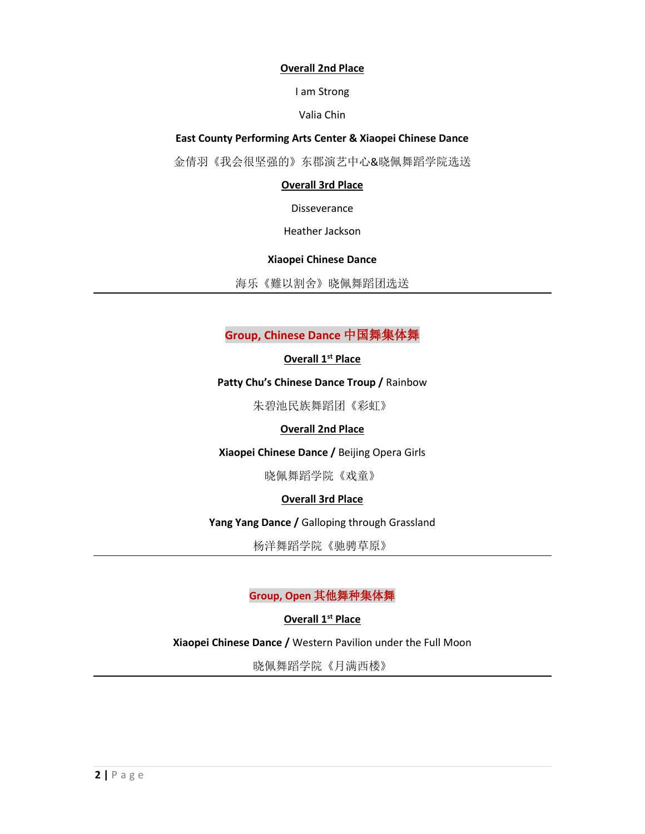#### **Overall 2nd Place**

I am Strong

Valia Chin

**East County Performing Arts Center & Xiaopei Chinese Dance**

金倩羽《我会很坚强的》东郡演艺中心&晓佩舞蹈学院选送

# **Overall 3rd Place**

Disseverance

Heather Jackson

# **Xiaopei Chinese Dance**

海乐《難以割舍》晓佩舞蹈团选送

# **Group, Chinese Dance** 中国舞集体舞

# **Overall 1st Place**

# **Patty Chu's Chinese Dance Troup /** Rainbow

朱碧池民族舞蹈团《彩虹》

# **Overall 2nd Place**

**Xiaopei Chinese Dance /** Beijing Opera Girls

晓佩舞蹈学院《戏童》

# **Overall 3rd Place**

**Yang Yang Dance /** Galloping through Grassland

杨洋舞蹈学院《驰骋草原》

# **Group, Open** 其他舞种集体舞

**Overall 1st Place**

# **Xiaopei Chinese Dance /** Western Pavilion under the Full Moon

晓佩舞蹈学院《月满西楼》